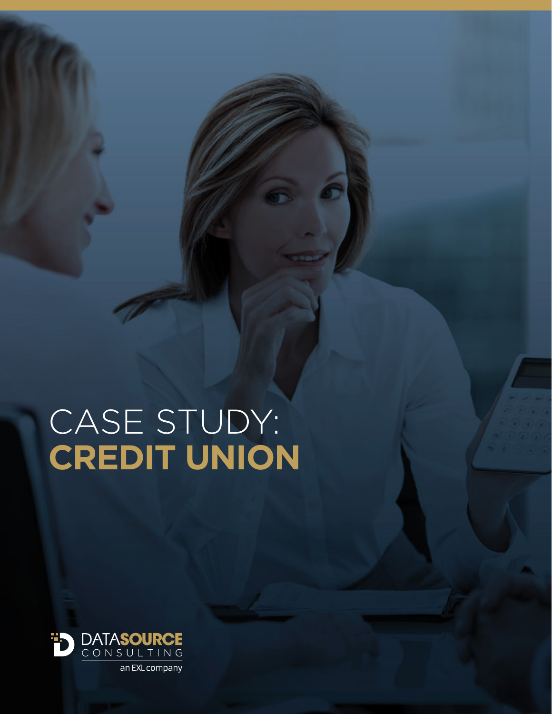# CASE STUDY: **CREDIT UNION**



an EXL company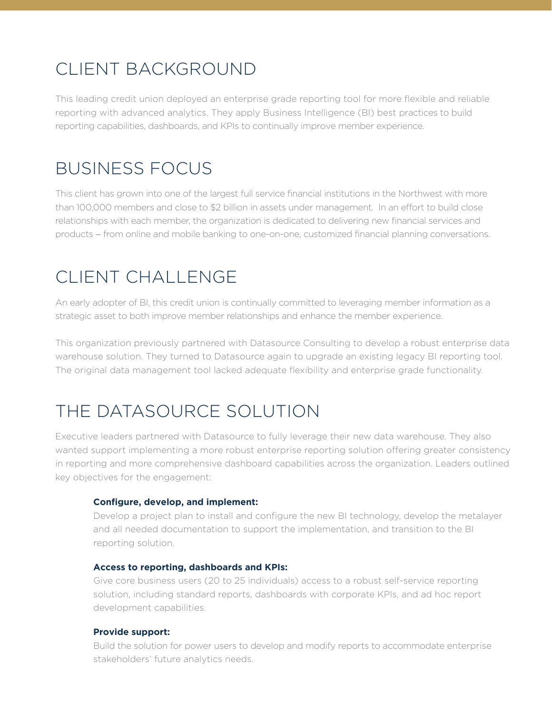# CLIENT BACKGROUND

This leading credit union deployed an enterprise grade reporting tool for more flexible and reliable reporting with advanced analytics. They apply Business Intelligence (BI) best practices to build reporting capabilities, dashboards, and KPIs to continually improve member experience.

## BUSINESS FOCUS

This client has grown into one of the largest full service financial institutions in the Northwest with more than 100,000 members and close to \$2 billion in assets under management. In an effort to build close relationships with each member, the organization is dedicated to delivering new financial services and products − from online and mobile banking to one-on-one, customized financial planning conversations.

# CLIENT CHALLENGE

An early adopter of BI, this credit union is continually committed to leveraging member information as a strategic asset to both improve member relationships and enhance the member experience.

This organization previously partnered with Datasource Consulting to develop a robust enterprise data warehouse solution. They turned to Datasource again to upgrade an existing legacy BI reporting tool. The original data management tool lacked adequate flexibility and enterprise grade functionality.

# THE DATASOURCE SOLUTION

Executive leaders partnered with Datasource to fully leverage their new data warehouse. They also wanted support implementing a more robust enterprise reporting solution offering greater consistency in reporting and more comprehensive dashboard capabilities across the organization. Leaders outlined key objectives for the engagement:

#### **Configure, develop, and implement:**

Develop a project plan to install and configure the new BI technology, develop the metalayer and all needed documentation to support the implementation, and transition to the BI reporting solution.

#### **Access to reporting, dashboards and KPIs:**

Give core business users (20 to 25 individuals) access to a robust self-service reporting solution, including standard reports, dashboards with corporate KPIs, and ad hoc report development capabilities.

#### **Provide support:**

Build the solution for power users to develop and modify reports to accommodate enterprise stakeholders' future analytics needs.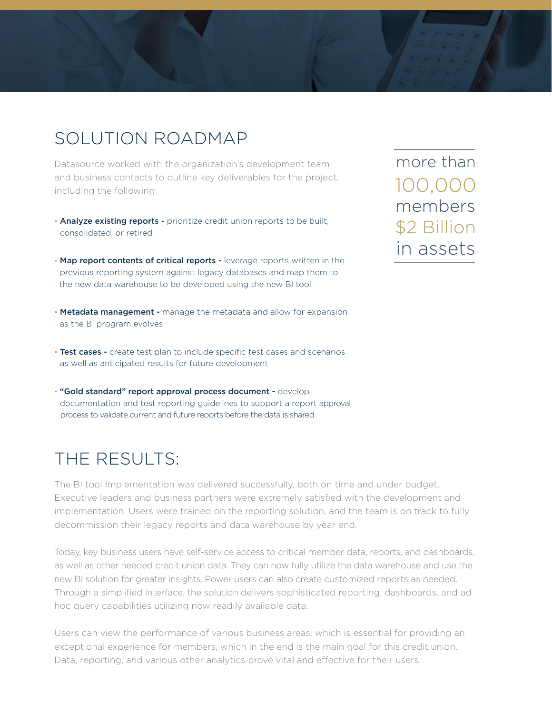### SOLUTION ROADMAP

Datasource worked with the organization's development team and business contacts to outline key deliverables for the project, including the following:

- Analyze existing reports prioritize credit union reports to be built, consolidated, or retired
- Map report contents of critical reports leverage reports written in the previous reporting system against legacy databases and map them to the new data warehouse to be developed using the new BI tool
- Metadata management manage the metadata and allow for expansion as the BI program evolves
- Test cases create test plan to include specific test cases and scenarios as well as anticipated results for future development
- "Gold standard" report approval process document develop documentation and test reporting guidelines to support a report approval process to validate current and future reports before the data is shared

## THE RESULTS:

The BI tool implementation was delivered successfully, both on time and under budget. Executive leaders and business partners were extremely satisfied with the development and implementation. Users were trained on the reporting solution, and the team is on track to fully decommission their legacy reports and data warehouse by year end.

Today, key business users have self-service access to critical member data, reports, and dashboards, as well as other needed credit union data. They can now fully utilize the data warehouse and use the new BI solution for greater insights. Power users can also create customized reports as needed. Through a simplified interface, the solution delivers sophisticated reporting, dashboards, and ad hoc query capabilities utilizing now readily available data.

Users can view the performance of various business areas, which is essential for providing an exceptional experience for members, which in the end is the main goal for this credit union. Data, reporting, and various other analytics prove vital and effective for their users.

members \$2 Billion more than in assets 100,000